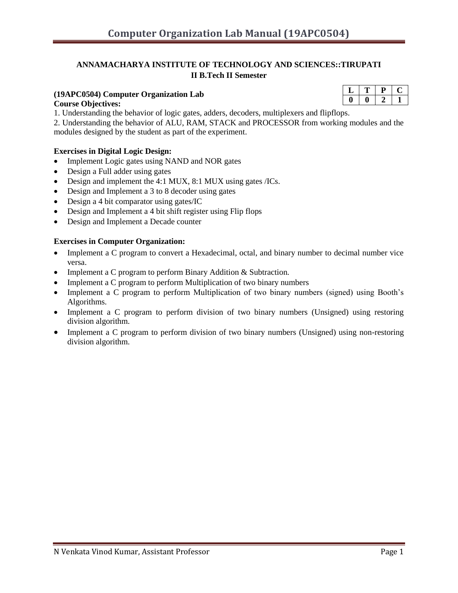#### **ANNAMACHARYA INSTITUTE OF TECHNOLOGY AND SCIENCES::TIRUPATI II B.Tech II Semester**

## **(19APC0504) Computer Organization Lab**

#### **Course Objectives:**

1. Understanding the behavior of logic gates, adders, decoders, multiplexers and flipflops.

2. Understanding the behavior of ALU, RAM, STACK and PROCESSOR from working modules and the modules designed by the student as part of the experiment.

#### **Exercises in Digital Logic Design:**

- Implement Logic gates using NAND and NOR gates
- Design a Full adder using gates
- Design and implement the 4:1 MUX, 8:1 MUX using gates /ICs.
- Design and Implement a 3 to 8 decoder using gates
- Design a 4 bit comparator using gates/IC
- Design and Implement a 4 bit shift register using Flip flops
- Design and Implement a Decade counter

#### **Exercises in Computer Organization:**

- Implement a C program to convert a Hexadecimal, octal, and binary number to decimal number vice versa.
- Implement a C program to perform Binary Addition & Subtraction.
- Implement a C program to perform Multiplication of two binary numbers
- Implement a C program to perform Multiplication of two binary numbers (signed) using Booth's Algorithms.
- Implement a C program to perform division of two binary numbers (Unsigned) using restoring division algorithm.
- Implement a C program to perform division of two binary numbers (Unsigned) using non-restoring division algorithm.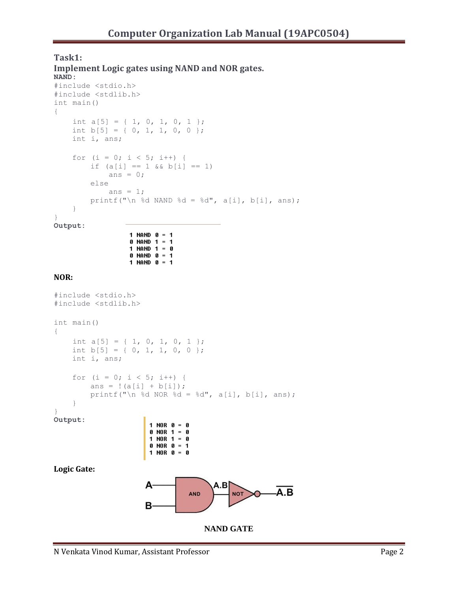#### **Task1: Implement Logic gates using NAND and NOR gates.**

 $0$  NAND 1 = 1 1 NAND  $1 = 0$  $0$  NAND  $0 = 1$ 1 NAND  $0 = 1$ 

```
NAND:
#include <stdio.h>
#include <stdlib.h>
int main()
{ 
    int a[5] = \{ 1, 0, 1, 0, 1 \};
    int b[5] = \{ 0, 1, 1, 0, 0 \};
    int i, ans;
    for (i = 0; i < 5; i++) {
        if (a[i] == 1 & (b[i] == 1)ans = 0;else
            ans = 1;printf("\n %d NAND %d = %d", a[i], b[i], ans);
    }
}
Output:
                 1 NAND 0 = 1
```

```
NOR:
```

```
#include <stdio.h>
#include <stdlib.h>
int main()
{
    int a[5] = \{ 1, 0, 1, 0, 1 \};
    int b[5] = \{ 0, 1, 1, 0, 0 \};
    int i, ans;
    for (i = 0; i < 5; i++) {
         ans = !(a[i] + b[i]);printf("\n %d NOR %d = %d", a[i], b[i], ans);
    }
}
Output:
                       1 NOR 0 = 00 NOR 1 = 0
                       1 NOR 1 = 00 NOR 0 = 11 NOR 0 = 0Logic Gate:
                       A
                                        A.B
                                                      -\overline{A}.\overline{B}NOTAND
                      в
```

```
NAND GATE
```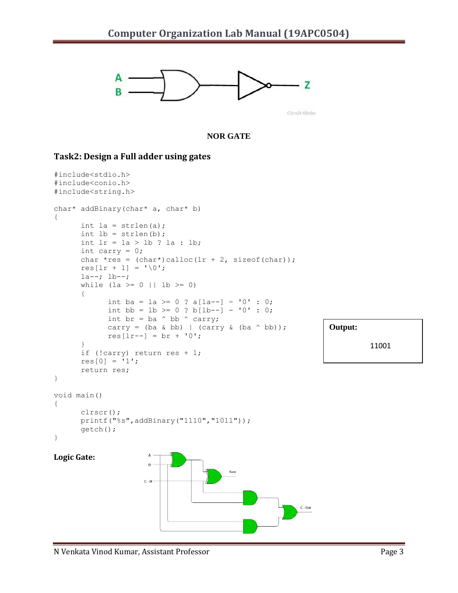

Circuit Globe

**Output:**

 $C - Out$ 

11001

#### **NOR GATE**

#### **Task2: Design a Full adder using gates**

```
#include<stdio.h>
#include<conio.h>
#include<string.h>
char* addBinary(char* a, char* b) 
{
      int la = strlen(a);
      int lb = strlen(b);
      int lr = la > lb ? la : lb;
      int carry = 0;
      char *res = (char*)calloc(lr + 2, sizeof(char));res[lr + 1] = \sqrt{0};
      la--; lb--;
      while (la >= 0 || lb >= 0)
      {
             int ba = la >= 0 ? a[la--] - '0' : 0;
             int bb = lb >= 0 ? b[lb--] - '0' : 0;
             int br = ba \land bb \land carry;
             carry = (ba \& bb) | (carry \& (ba \land bb)); res[lr--] = br + '0';
      }
      if (!carry) return res + 1;
      res[0] = '1';return res;
}
void main()
{
      clrscr();
      printf("%s",addBinary("1110","1011"));
      getch();
}
                      \overline{A}Logic Gate:
                                          Sum
                      C - IN
```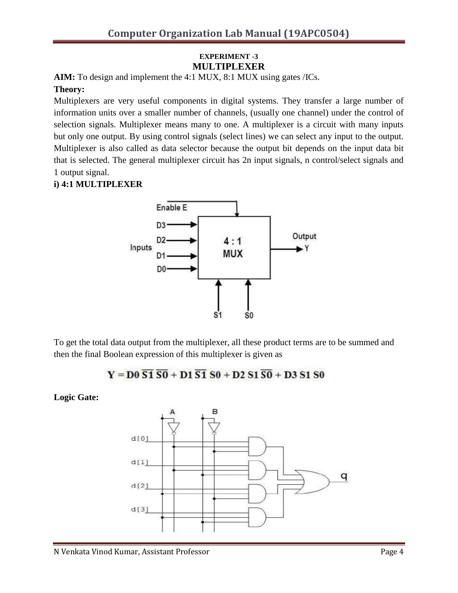## **EXPERIMENT -3 MULTIPLEXER**

**AIM:** To design and implement the 4:1 MUX, 8:1 MUX using gates /ICs. **Theory:** 

Multiplexers are very useful components in digital systems. They transfer a large number of information units over a smaller number of channels, (usually one channel) under the control of selection signals. Multiplexer means many to one. A multiplexer is a circuit with many inputs but only one output. By using control signals (select lines) we can select any input to the output. Multiplexer is also called as data selector because the output bit depends on the input data bit that is selected. The general multiplexer circuit has 2n input signals, n control/select signals and 1 output signal.

### **i) 4:1 MULTIPLEXER**



To get the total data output from the multiplexer, all these product terms are to be summed and then the final Boolean expression of this multiplexer is given as

$$
Y = D0 \overline{S1} \overline{S0} + D1 \overline{S1} S0 + D2 S1 \overline{S0} + D3 S1 S0
$$

**Logic Gate:**

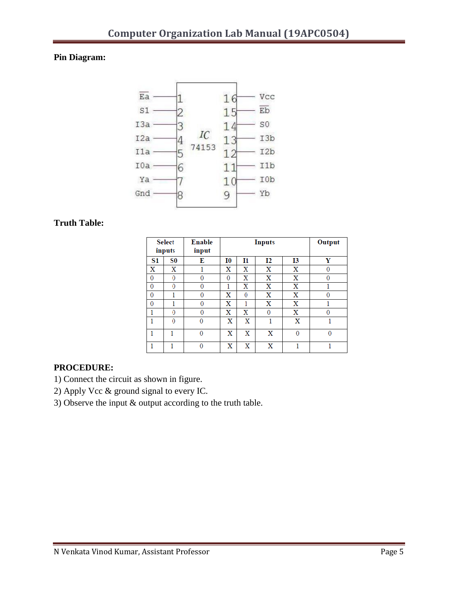## **Pin Diagram:**



#### **Truth Table:**

| <b>Select</b><br>inputs |          | <b>Enable</b><br>input |          | <b>Inputs</b> | Output   |              |   |
|-------------------------|----------|------------------------|----------|---------------|----------|--------------|---|
| S1                      | S0       | E                      | 10       | 11            | 12       | 13           | Y |
| x                       | x        |                        | x        | x             | X        | X            | 0 |
| 0                       | $\theta$ | 0                      | $\theta$ | x             | X        | x            | 0 |
| 0                       | 0        | 0                      | 1        | x             | x        | x            |   |
| 0                       | 1        | 0                      | x        | 0             | x        | x            | 0 |
| 0                       | 1        | 0                      | x        | 1             | x        | x            |   |
| 1                       | 0        | 0                      | x        | x             | $\Omega$ | x            | 0 |
| 1                       | $\theta$ | $\theta$               | x        | X             | 1        | X            |   |
| 1                       |          | $\theta$               | X        | X             | X        | $\mathbf{0}$ | 0 |
| 1                       |          | $\theta$               | X        | X             | X        | 1            | 1 |

## **PROCEDURE:**

- 1) Connect the circuit as shown in figure.
- 2) Apply Vcc & ground signal to every IC.
- 3) Observe the input & output according to the truth table.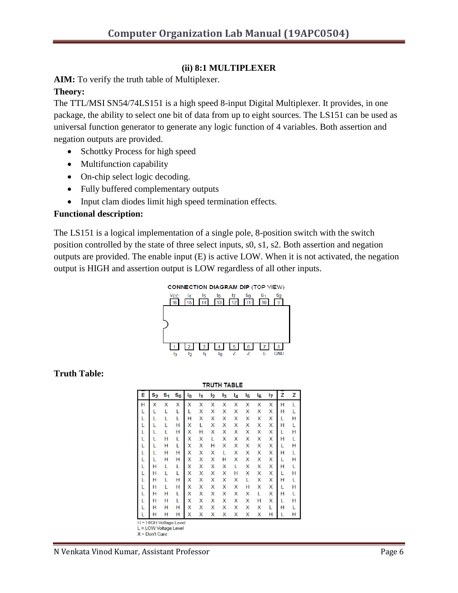## **(ii) 8:1 MULTIPLEXER**

**AIM:** To verify the truth table of Multiplexer.

## **Theory:**

The TTL/MSI SN54/74LS151 is a high speed 8-input Digital Multiplexer. It provides, in one package, the ability to select one bit of data from up to eight sources. The LS151 can be used as universal function generator to generate any logic function of 4 variables. Both assertion and negation outputs are provided.

- Schottky Process for high speed
- Multifunction capability
- On-chip select logic decoding.
- Fully buffered complementary outputs
- Input clam diodes limit high speed termination effects.

## **Functional description:**

The LS151 is a logical implementation of a single pole, 8-position switch with the switch position controlled by the state of three select inputs, s0, s1, s2. Both assertion and negation outputs are provided. The enable input (E) is active LOW. When it is not activated, the negation output is HIGH and assertion output is LOW regardless of all other inputs.



## **Truth Table:**

|   | <b>TRUTH TABLE</b> |                |         |       |                |                |    |       |               |       |    |   |   |
|---|--------------------|----------------|---------|-------|----------------|----------------|----|-------|---------------|-------|----|---|---|
| E | $s_{2}$            | s <sub>1</sub> | $s_{0}$ | $I_0$ | $\mathsf{I}_1$ | I <sub>2</sub> | l3 | $I_4$ | $\frac{1}{5}$ | $I_6$ | 17 | z | z |
| Н | X                  | X              | X       | X     | X              | X              | X  | X     | X             | X     | X  | Н | L |
| L |                    | L              | L       | L     | Χ              | X              | Χ  | Χ     | X             | Χ     | X  | Н | L |
| L | L                  | L              | L       | H     | X              | X              | X  | X     | X             | X     | X  | L | Η |
| L | L                  | L              | H       | Χ     | L              | Χ              | Χ  | Χ     | X             | Χ     | X  | H | L |
| L | L                  | L              | н       | X     | Н              | X              | Χ  | Χ     | X             | X     | X  | L | Н |
| L | L                  | H              | L       | Χ     | X              | L              | Χ  | X     | X             | X     | X  | Н | L |
| L | L                  | Н              | L       | X     | X              | н              | X  | X     | X             | Χ     | X  | L | Н |
| L | L                  | Н              | H       | Χ     | X              | X              | L  | X     | X             | X     | X  | H | L |
| L | L                  | н              | н       | X     | Χ              | X              | Н  | X     | X             | Χ     | X  | L | Н |
| L | Н                  | Г              | L       | Χ     | X              | X              | X  | L     | X             | X     | X  | H | L |
| L | Н                  | L              | L       | X     | X              | X              | X  | Н     | X             | X     | X  | L | Н |
| L | н                  | L              | н       | Χ     | Χ              | Χ              | Х  | Χ     | L             | Χ     | X  | Н | L |
| L | Н                  | L              | Η       | X     | Χ              | X              | X  | X     | н             | Χ     | X  | L | Н |
| L | Н                  | H              | L       | Χ     | Χ              | Χ              | Χ  | Χ     | Χ             | L     | Χ  | Н | L |
| L | Н                  | Н              | L       | X     | X              | X              | X  | X     | X             | н     | X  | L | Н |
| L | Η                  | н              | H       | Χ     | Χ              | X              | Х  | Х     | Χ             | Χ     | L  | Н | L |
|   | Η                  | Н              | Η       | X     | X              | X              | X  | Χ     | X             | X     | Η  | L | Н |

 $X = Don't Care$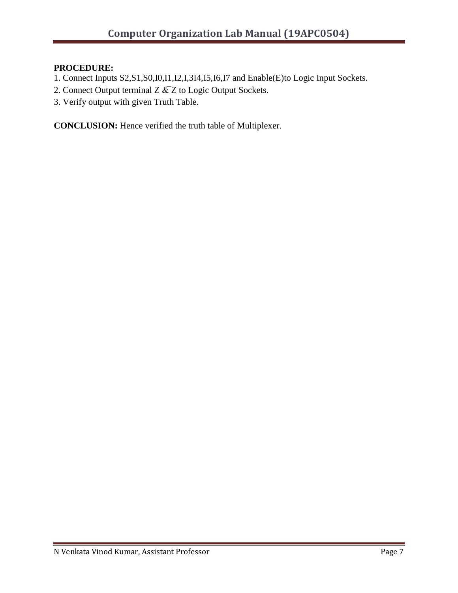# **PROCEDURE:**

- 1. Connect Inputs S2,S1,S0,I0,I1,I2,I,3I4,I5,I6,I7 and Enable(E)to Logic Input Sockets.
- 2. Connect Output terminal Z  $\&$ Z to Logic Output Sockets.
- 3. Verify output with given Truth Table.

**CONCLUSION:** Hence verified the truth table of Multiplexer.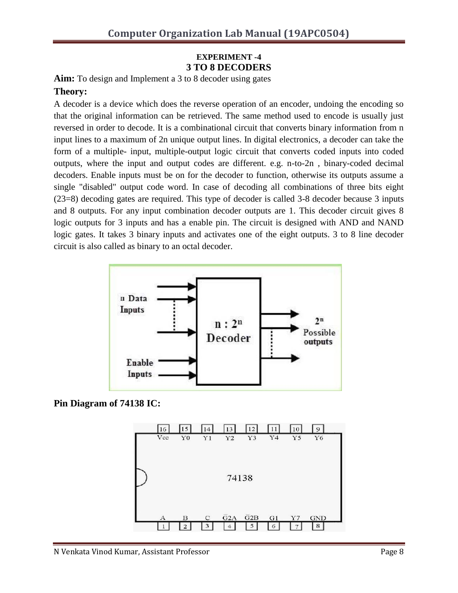## **EXPERIMENT -4 3 TO 8 DECODERS**

**Aim:** To design and Implement a 3 to 8 decoder using gates

## **Theory:**

A decoder is a device which does the reverse operation of an encoder, undoing the encoding so that the original information can be retrieved. The same method used to encode is usually just reversed in order to decode. It is a combinational circuit that converts binary information from n input lines to a maximum of 2n unique output lines. In digital electronics, a decoder can take the form of a multiple- input, multiple-output logic circuit that converts coded inputs into coded outputs, where the input and output codes are different. e.g. n-to-2n , binary-coded decimal decoders. Enable inputs must be on for the decoder to function, otherwise its outputs assume a single "disabled" output code word. In case of decoding all combinations of three bits eight (23=8) decoding gates are required. This type of decoder is called 3-8 decoder because 3 inputs and 8 outputs. For any input combination decoder outputs are 1. This decoder circuit gives 8 logic outputs for 3 inputs and has a enable pin. The circuit is designed with AND and NAND logic gates. It takes 3 binary inputs and activates one of the eight outputs. 3 to 8 line decoder circuit is also called as binary to an octal decoder.



**Pin Diagram of 74138 IC:**

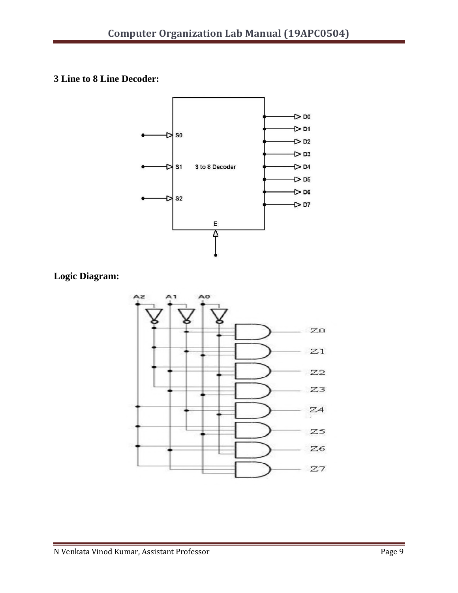**3 Line to 8 Line Decoder:**



**Logic Diagram:**

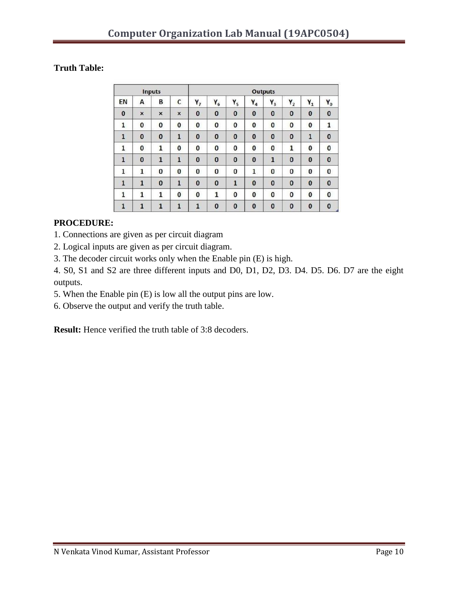## **Truth Table:**

|              |              | <b>Inputs</b> |              | <b>Outputs</b> |          |                |          |              |          |              |                |
|--------------|--------------|---------------|--------------|----------------|----------|----------------|----------|--------------|----------|--------------|----------------|
| EN           | А            | В             | $\mathsf{C}$ | $Y_7$          | $Y_6$    | Υ <sub>5</sub> | $Y_4$    | $Y_3$        | $Y_2$    | $Y_1$        | $\mathbf{Y}_0$ |
| $\bf{0}$     | ×            | $\times$      | $\times$     | $\bf{0}$       | $\bf{0}$ | $\bf{0}$       | $\bf{0}$ | $\bf{0}$     | $\bf{0}$ | $\bf{0}$     | $\bf{0}$       |
| 1            | 0            | $\bf{0}$      | 0            | 0              | 0        | 0              | $\bf{0}$ | 0            | 0        | 0            | 1              |
| 1            | $\bf{0}$     | $\bf{0}$      | $\mathbf{1}$ | $\bf{0}$       | $\bf{0}$ | $\bf{0}$       | $\bf{0}$ | $\bf{0}$     | $\bf{0}$ | $\mathbf{1}$ | $\bf{0}$       |
| 1            | 0            | 1             | 0            | 0              | 0        | 0              | $\bf{0}$ | 0            | 1        | 0            | 0              |
| $\mathbf{1}$ | $\bf{0}$     | $\mathbf{1}$  | $\mathbf{1}$ | $\bf{0}$       | $\bf{0}$ | $\bf{0}$       | $\bf{0}$ | $\mathbf{1}$ | $\bf{0}$ | $\bf{0}$     | $\bf{0}$       |
| $\mathbf{1}$ | 1            | 0             | $\bf{0}$     | 0              | 0        | 0              | 1        | 0            | 0        | 0            | $\bf{0}$       |
| $\mathbf{1}$ | 1            | $\bf{0}$      | $\mathbf{1}$ | $\bf{0}$       | $\bf{0}$ | 1              | $\bf{0}$ | $\bf{0}$     | $\bf{0}$ | $\bf{0}$     | $\bf{0}$       |
| 1            | $\mathbf{1}$ | 1             | 0            | 0              | 1        | $\bf{0}$       | $\bf{0}$ | 0            | $\bf{0}$ | $\bf{0}$     | $\bf{0}$       |
| $\mathbf{1}$ | $\mathbf{1}$ | 1             | $\mathbf{1}$ | 1              | $\bf{0}$ | $\bf{0}$       | $\bf{0}$ | $\bf{0}$     | $\bf{0}$ | $\bf{0}$     | $\bf{0}$       |

## **PROCEDURE:**

1. Connections are given as per circuit diagram

2. Logical inputs are given as per circuit diagram.

3. The decoder circuit works only when the Enable pin (E) is high.

4. S0, S1 and S2 are three different inputs and D0, D1, D2, D3. D4. D5. D6. D7 are the eight outputs.

5. When the Enable pin (E) is low all the output pins are low.

6. Observe the output and verify the truth table.

**Result:** Hence verified the truth table of 3:8 decoders.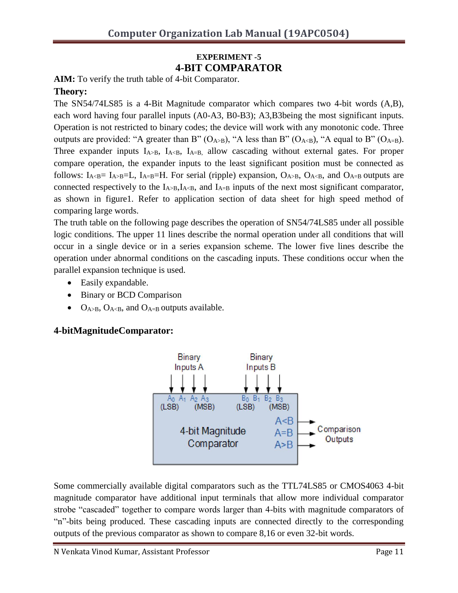## **EXPERIMENT -5 4-BIT COMPARATOR**

**AIM:** To verify the truth table of 4-bit Comparator.

## **Theory:**

The SN54/74LS85 is a 4-Bit Magnitude comparator which compares two 4-bit words (A,B), each word having four parallel inputs (A0-A3, B0-B3); A3,B3being the most significant inputs. Operation is not restricted to binary codes; the device will work with any monotonic code. Three outputs are provided: "A greater than B"  $(O_{A>B})$ , "A less than B"  $(O_{A\leq B})$ , "A equal to B"  $(O_{A=B})$ . Three expander inputs  $I_{A>B}$ ,  $I_{A,  $I_{A=B}$ , allow cascading without external gates. For proper$ compare operation, the expander inputs to the least significant position must be connected as follows:  $I_{A\leq B} = I_{A\geq B} = I$ ,  $I_{A=B} = H$ . For serial (ripple) expansion,  $O_{A\geq B}$ ,  $O_{A\leq B}$ , and  $O_{A=B}$  outputs are connected respectively to the  $I_{A>B}$ ,  $I_{A, and  $I_{A=B}$  inputs of the next most significant comparator,$ as shown in figure1. Refer to application section of data sheet for high speed method of comparing large words.

The truth table on the following page describes the operation of SN54/74LS85 under all possible logic conditions. The upper 11 lines describe the normal operation under all conditions that will occur in a single device or in a series expansion scheme. The lower five lines describe the operation under abnormal conditions on the cascading inputs. These conditions occur when the parallel expansion technique is used.

- Easily expandable.
- Binary or BCD Comparison
- $\bullet$  O<sub>A>B</sub>, O<sub>A<B</sub>, and O<sub>A=B</sub> outputs available.

## **4-bitMagnitudeComparator:**



Some commercially available digital comparators such as the TTL74LS85 or CMOS4063 4-bit magnitude comparator have additional input terminals that allow more individual comparator strobe "cascaded" together to compare words larger than 4-bits with magnitude comparators of "n"-bits being produced. These cascading inputs are connected directly to the corresponding outputs of the previous comparator as shown to compare 8,16 or even 32-bit words.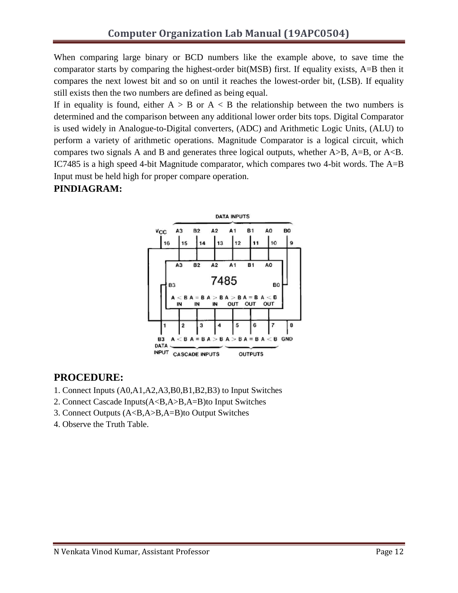When comparing large binary or BCD numbers like the example above, to save time the comparator starts by comparing the highest-order bit(MSB) first. If equality exists, A=B then it compares the next lowest bit and so on until it reaches the lowest-order bit, (LSB). If equality still exists then the two numbers are defined as being equal.

If in equality is found, either  $A > B$  or  $A < B$  the relationship between the two numbers is determined and the comparison between any additional lower order bits tops. Digital Comparator is used widely in Analogue-to-Digital converters, (ADC) and Arithmetic Logic Units, (ALU) to perform a variety of arithmetic operations. Magnitude Comparator is a logical circuit, which compares two signals A and B and generates three logical outputs, whether A>B, A=B, or A<B. IC7485 is a high speed 4-bit Magnitude comparator, which compares two 4-bit words. The A=B Input must be held high for proper compare operation.

# **PINDIAGRAM:**



# **PROCEDURE:**

- 1. Connect Inputs (A0,A1,A2,A3,B0,B1,B2,B3) to Input Switches
- 2. Connect Cascade Inputs(A<B,A>B,A=B)to Input Switches
- 3. Connect Outputs (A<B,A>B,A=B)to Output Switches
- 4. Observe the Truth Table.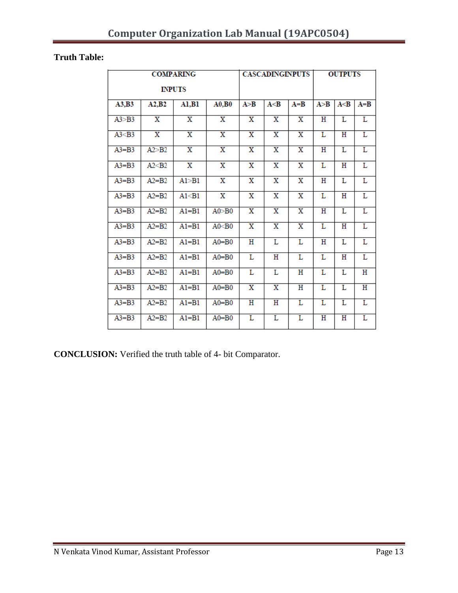# **Truth Table:**

|           |                         | <b>COMPARING</b>        |                         | <b>CASCADINGINPUTS</b>  |                         |                         | <b>OUTPUTS</b>          |                       |         |
|-----------|-------------------------|-------------------------|-------------------------|-------------------------|-------------------------|-------------------------|-------------------------|-----------------------|---------|
|           |                         | <b>INPUTS</b>           |                         |                         |                         |                         |                         |                       |         |
| A3,B3     | A2,B2                   | A1,B1                   | A0,B0                   | A > B                   | A < B                   | $A = B$                 | A > B                   | A < B                 | $A = B$ |
| A3 > B3   | x                       | x                       | $\overline{\mathbf{x}}$ | $\overline{\mathbf{X}}$ | X                       | $\overline{\mathbf{x}}$ | $\overline{\text{H}}$   | L                     | L       |
| A3< B3    | $\overline{\textbf{x}}$ | $\overline{\textbf{x}}$ | $\overline{\textbf{x}}$ | $\overline{\textbf{x}}$ | $\overline{\mathbf{x}}$ | $\overline{\mathbf{x}}$ | L                       | $\overline{\text{H}}$ | L       |
| $A3 = B3$ | A2 > B2                 | $\overline{\mathbf{x}}$ | $\overline{\mathbf{x}}$ | $\overline{\textbf{x}}$ | $\overline{\mathbf{x}}$ | $\overline{\mathbf{x}}$ | н                       | $\overline{\text{L}}$ | L       |
| $A3 = B3$ | A2 <sub>52</sub>        | X                       | $\overline{\mathbf{X}}$ | x                       | X                       | $\overline{\mathbf{X}}$ | L                       | Η                     | L       |
| $A3 = B3$ | $A2 = B2$               | A1 > B1                 | X                       | X                       | Х                       | X                       | Η                       | L                     | L       |
| $A3 = B3$ | $A2 = B2$               | A1 <sub>31</sub>        | X                       | X                       | х                       | X                       | L                       | Н                     | L       |
| $A3 = B3$ | $A2 = B2$               | $AI = B1$               | A0 > B0                 | $\overline{\mathbf{x}}$ | $\overline{\mathbf{x}}$ | $\overline{\mathbf{x}}$ | $\overline{\texttt{H}}$ | $\overline{\text{L}}$ | L       |
| $A3 = B3$ | $A2 = B2$               | $AI = B1$               | A0 < B0                 | $\overline{\mathbf{x}}$ | x                       | $\overline{\mathbf{x}}$ | $\overline{\text{L}}$   | $\overline{\text{H}}$ | L       |
| $A3 = B3$ | $A2 = B2$               | $A1 = B1$               | $A0 = B0$               | Η                       | L                       | L                       | Η                       | L                     | L       |
| $A3 = B3$ | $A2 = B2$               | $A1 = B1$               | $A0 = B0$               | г                       | Η                       | Г                       | Г                       | Η                     | L       |
| $A3 = B3$ | $A2 = B2$               | $A1 = B1$               | $A0 = B0$               | г                       | L                       | Η                       | Г                       | L                     | н       |
| $A3 = B3$ | $A2 = B2$               | $Al = Bl$               | $A0 = B0$               | $\overline{\textbf{X}}$ | x                       | H                       | L                       | L                     | H       |
| $A3 = B3$ | $A2 = B2$               | $AI = B1$               | $A0 = B0$               | $\overline{\text{H}}$   | Η                       | L                       | L                       | L                     | L       |
| $A3 = B3$ | $A2 = B2$               | $A1 = B1$               | $A0 = B0$               | $\overline{\text{L}}$   | L                       | $\overline{\text{L}}$   | $\overline{\text{H}}$   | $\overline{\text{H}}$ | L       |

**CONCLUSION:** Verified the truth table of 4- bit Comparator.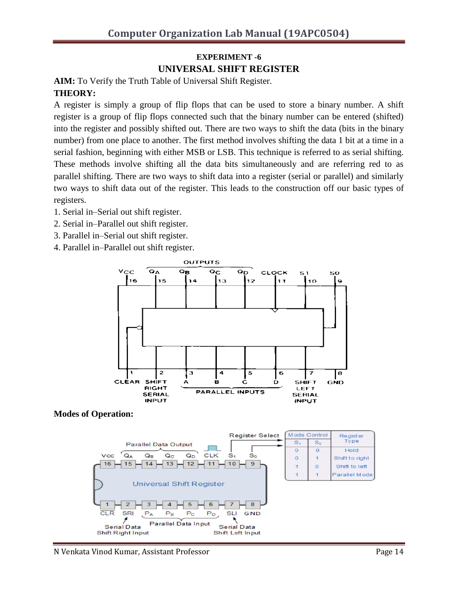# **EXPERIMENT -6 UNIVERSAL SHIFT REGISTER**

**AIM:** To Verify the Truth Table of Universal Shift Register. **THEORY:** 

A register is simply a group of flip flops that can be used to store a binary number. A shift register is a group of flip flops connected such that the binary number can be entered (shifted) into the register and possibly shifted out. There are two ways to shift the data (bits in the binary number) from one place to another. The first method involves shifting the data 1 bit at a time in a serial fashion, beginning with either MSB or LSB. This technique is referred to as serial shifting. These methods involve shifting all the data bits simultaneously and are referring red to as parallel shifting. There are two ways to shift data into a register (serial or parallel) and similarly two ways to shift data out of the register. This leads to the construction off our basic types of registers.

- 1. Serial in–Serial out shift register.
- 2. Serial in–Parallel out shift register.
- 3. Parallel in–Serial out shift register.
- 4. Parallel in–Parallel out shift register.



**Modes of Operation:**

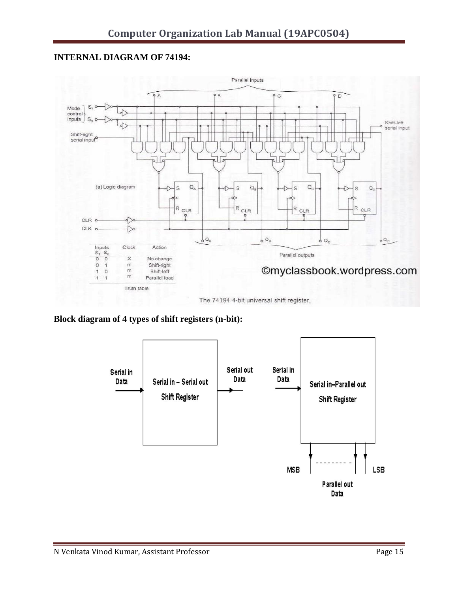### **INTERNAL DIAGRAM OF 74194:**



The 74194 4-bit universal shift register.

## **Block diagram of 4 types of shift registers (n-bit):**

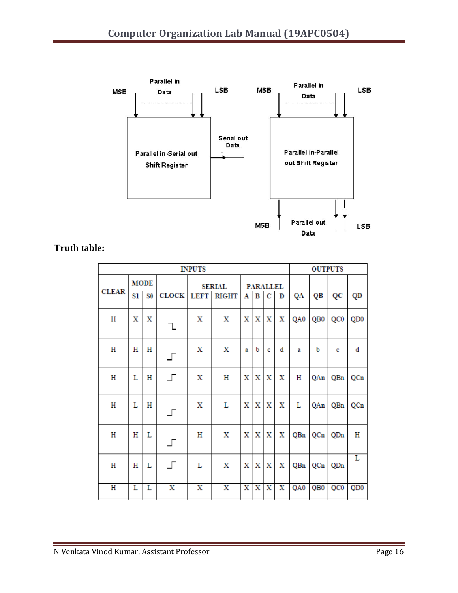

**Truth table:**

| <b>INPUTS</b> |             |                |                          |                         |                         |                       |                       |                         |                         |     | <b>OUTPUTS</b>  |                 |                 |
|---------------|-------------|----------------|--------------------------|-------------------------|-------------------------|-----------------------|-----------------------|-------------------------|-------------------------|-----|-----------------|-----------------|-----------------|
|               | <b>MODE</b> |                | <b>SERIAL</b>            | <b>PARALLEL</b>         |                         |                       |                       |                         |                         |     |                 |                 |                 |
| <b>CLEAR</b>  | Sl          | S <sub>0</sub> | <b>CLOCK</b>             | <b>LEFT</b>             | <b>RIGHT</b>            | A                     | B                     | С                       | D                       | QA  | QB              | QC              | QD              |
| Η             | х           | X              |                          | x                       | х                       | x                     | X                     | х                       | X                       | QA0 | QB <sub>0</sub> | QC <sub>0</sub> | QD <sub>0</sub> |
| Η             | Н           | Н              | 」                        | x                       | х                       | a                     | b                     | c                       | d                       | a   | b               | c               | d               |
| Η             | L           | Η              | 」                        | x                       | Η                       | x                     | X                     | х                       | х                       | Η   | QAn             | QBn             | QCn             |
| Η             | L           | Н              | $\overline{\phantom{a}}$ | x                       | L                       | X                     | X                     | х                       | X                       | L   | QAn             | QBn             | QCn             |
| Η             | Η           | L              | $\Gamma$                 | Η                       | х                       | х                     | X                     | X                       | х                       | QBn | QCn             | QDn             | Η               |
| Η             | Η           | L              | $\Gamma$                 | L                       | х                       | x                     | X                     | х                       | х                       | QBn | QCn             | QDn             | L               |
| Η             | L           | L              | $\overline{\textbf{x}}$  | $\overline{\textbf{x}}$ | $\overline{\textbf{x}}$ | $\overline{\text{X}}$ | $\overline{\text{x}}$ | $\overline{\textbf{x}}$ | $\overline{\textbf{x}}$ | QA0 | QB <sub>0</sub> | QC <sub>0</sub> | Q <sub>D0</sub> |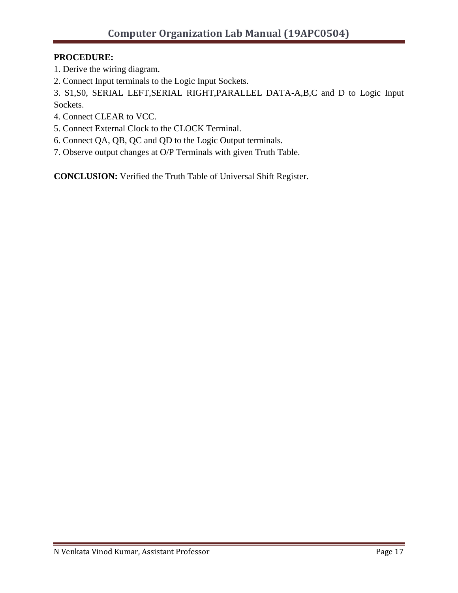## **PROCEDURE:**

- 1. Derive the wiring diagram.
- 2. Connect Input terminals to the Logic Input Sockets.

3. S1,S0, SERIAL LEFT,SERIAL RIGHT,PARALLEL DATA-A,B,C and D to Logic Input Sockets.

- 4. Connect CLEAR to VCC.
- 5. Connect External Clock to the CLOCK Terminal.
- 6. Connect QA, QB, QC and QD to the Logic Output terminals.
- 7. Observe output changes at O/P Terminals with given Truth Table.

**CONCLUSION:** Verified the Truth Table of Universal Shift Register.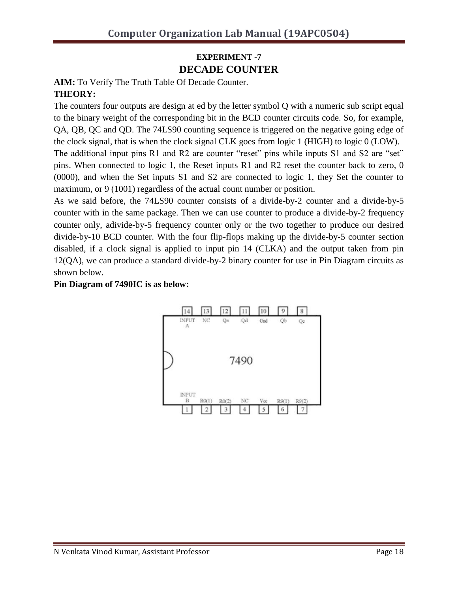# **EXPERIMENT -7 DECADE COUNTER**

**AIM:** To Verify The Truth Table Of Decade Counter. **THEORY:** 

The counters four outputs are design at ed by the letter symbol Q with a numeric sub script equal to the binary weight of the corresponding bit in the BCD counter circuits code. So, for example, QA, QB, QC and QD. The 74LS90 counting sequence is triggered on the negative going edge of the clock signal, that is when the clock signal CLK goes from logic 1 (HIGH) to logic 0 (LOW). The additional input pins R1 and R2 are counter "reset" pins while inputs S1 and S2 are "set" pins. When connected to logic 1, the Reset inputs R1 and R2 reset the counter back to zero, 0 (0000), and when the Set inputs S1 and S2 are connected to logic 1, they Set the counter to maximum, or 9 (1001) regardless of the actual count number or position.

As we said before, the 74LS90 counter consists of a divide-by-2 counter and a divide-by-5 counter with in the same package. Then we can use counter to produce a divide-by-2 frequency counter only, adivide-by-5 frequency counter only or the two together to produce our desired divide-by-10 BCD counter. With the four flip-flops making up the divide-by-5 counter section disabled, if a clock signal is applied to input pin 14 (CLKA) and the output taken from pin 12(QA), we can produce a standard divide-by-2 binary counter for use in Pin Diagram circuits as shown below.

#### **Pin Diagram of 7490IC is as below:**

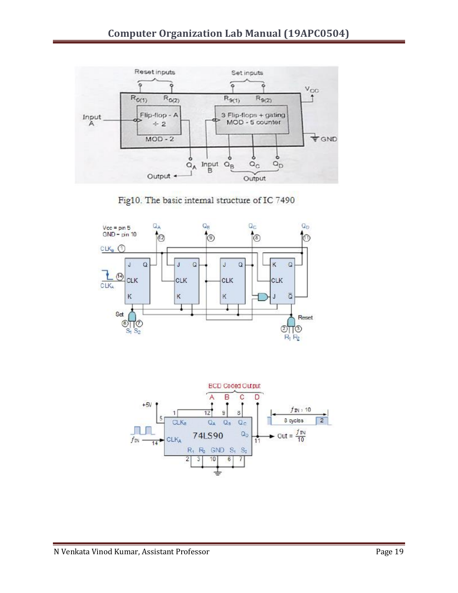

Fig10. The basic internal structure of IC 7490



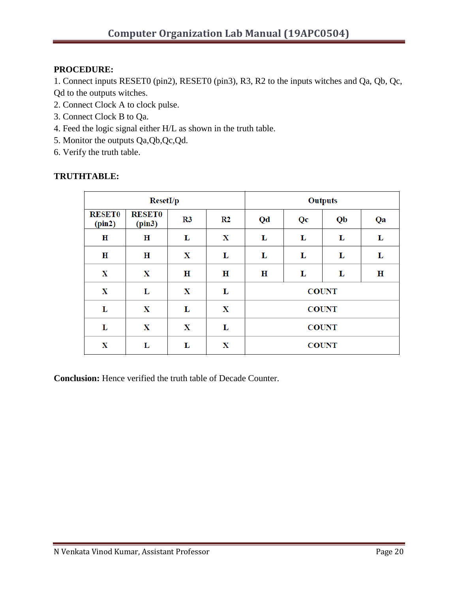## **PROCEDURE:**

1. Connect inputs RESET0 (pin2), RESET0 (pin3), R3, R2 to the inputs witches and Qa, Qb, Qc, Qd to the outputs witches.

- 2. Connect Clock A to clock pulse.
- 3. Connect Clock B to Qa.
- 4. Feed the logic signal either H/L as shown in the truth table.
- 5. Monitor the outputs Qa,Qb,Qc,Qd.
- 6. Verify the truth table.

#### **TRUTHTABLE:**

|                         | <b>ResetI/p</b>         |                |                | <b>Outputs</b> |    |              |    |  |  |  |  |
|-------------------------|-------------------------|----------------|----------------|----------------|----|--------------|----|--|--|--|--|
| <b>RESET0</b><br>(pin2) | <b>RESET0</b><br>(pin3) | R <sub>3</sub> | R <sub>2</sub> | Qd             | Qc | Qb           | Qa |  |  |  |  |
| Η                       | Η                       | L              | X              | L              | L  | L            | L  |  |  |  |  |
| $\bf H$                 | $\bf H$                 | X              | L              | L              | L  | L            | L  |  |  |  |  |
| X                       | X                       | Η              | Н              | Η              | L  | L            | Η  |  |  |  |  |
| X                       | L                       | X              | L              |                |    | <b>COUNT</b> |    |  |  |  |  |
| L                       | X                       | L              | X              | <b>COUNT</b>   |    |              |    |  |  |  |  |
| L                       | X                       | X              | L              | <b>COUNT</b>   |    |              |    |  |  |  |  |
| X                       | L                       | L              | X              | <b>COUNT</b>   |    |              |    |  |  |  |  |

**Conclusion:** Hence verified the truth table of Decade Counter.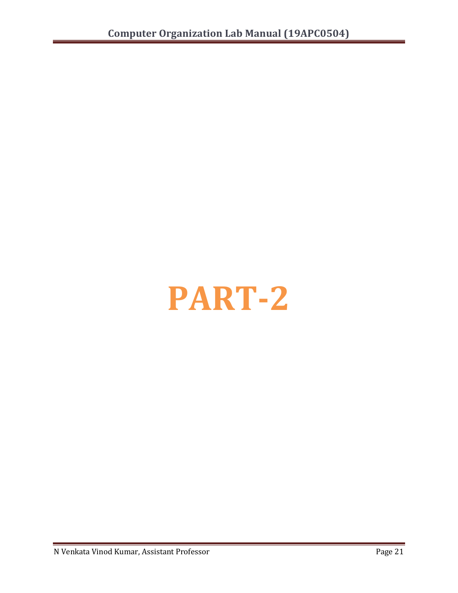# **PART-2**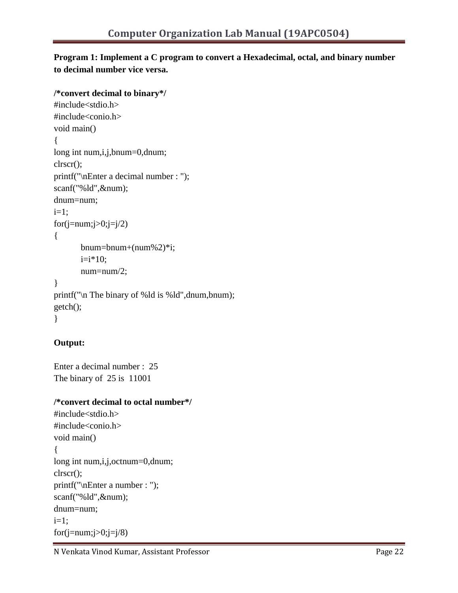## **Program 1: Implement a C program to convert a Hexadecimal, octal, and binary number to decimal number vice versa.**

#### **/\*convert decimal to binary\*/**

```
#include<stdio.h>
#include<conio.h>
void main()
{
long int num,i,j,bnum=0,dnum;
clrscr();
printf("\nEnter a decimal number : ");
scanf("%ld",&num);
dnum=num;
i=1:
for(j=num; j>0; j=j/2)
{
       bnum=bnum+(num\%2)*i;i=i*10;num=num/2;
}
printf("\n The binary of %ld is %ld",dnum,bnum);
getch();
}
```
## **Output:**

Enter a decimal number : 25 The binary of 25 is 11001

#### **/\*convert decimal to octal number\*/**

```
#include<stdio.h>
#include<conio.h>
void main()
{
long int num,i,j,octnum=0,dnum;
clrscr();
printf("\nEnter a number : ");
scanf("%ld",&num);
dnum=num;
i=1;
for(j=num; j>0; j=j/8)
```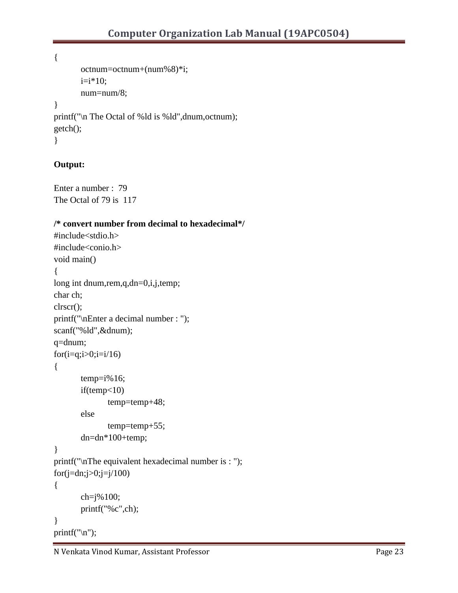```
{
      octnum=octnum+(num%8)*i;
      i=i*10;num=num/8;
}
printf("\n The Octal of %ld is %ld",dnum,octnum);
getch();
}
```
## **Output:**

```
Enter a number : 79
The Octal of 79 is 117
```
## **/\* convert number from decimal to hexadecimal\*/**

```
#include<stdio.h>
#include<conio.h>
void main()
{
long int dnum,rem,q,dn=0,i,j,temp;
char ch;
clrscr();
printf("\nEnter a decimal number : ");
scanf("%ld",&dnum);
q=dnum;
for(i=q;i>0;i=i/16)
{
       temp=i\%16;if(temp<10)
              temp=temp+48;
       else
              temp=temp+55;
       dn=dn*100+temp;
}
printf("\nThe equivalent hexadecimal number is : ");
for(j=dn; j>0; j=j/100)
{
       ch=j%100;
       printf("%c",ch);
}
printf("\ln");
```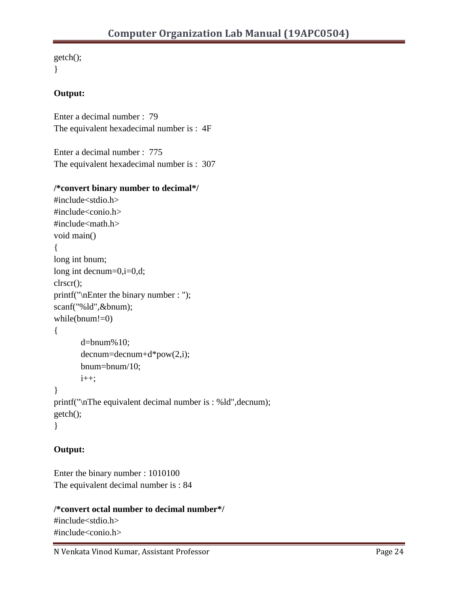```
getch();
}
```
## **Output:**

Enter a decimal number : 79 The equivalent hexadecimal number is : 4F

Enter a decimal number : 775 The equivalent hexadecimal number is : 307

### **/\*convert binary number to decimal\*/**

```
#include<stdio.h>
#include<conio.h>
#include<math.h>
void main()
{
long int bnum;
long int decnum=0,i=0,d;
clrscr();
printf("\nEnter the binary number : ");
scanf("%ld",&bnum);
while(bnum!=0)
{
       d=bnum%10;
       deenum = deenum + d * pow(2,i);bnum=bnum/10;
       i_{++};
}
printf("\nThe equivalent decimal number is : %ld",decnum);
getch();
}
```
## **Output:**

Enter the binary number : 1010100 The equivalent decimal number is : 84

## **/\*convert octal number to decimal number\*/** #include<stdio.h> #include<conio.h>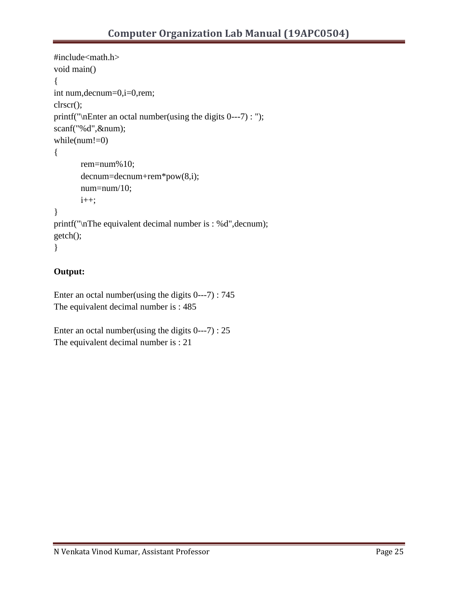```
#include<math.h>
void main()
{
int num,decnum=0,i=0,rem;
clrscr();
printf("\nEnter an octal number(using the digits 0---7) : ");
scanf("%d",&num);
while(num!=0)
{
      rem=num%10;
       decnum=decnum+rem*pow(8,i);
       num=num/10;
      i++;}
printf("\nThe equivalent decimal number is : %d",decnum);
getch();
}
```
## **Output:**

Enter an octal number(using the digits 0---7) : 745 The equivalent decimal number is : 485

Enter an octal number(using the digits 0---7) : 25 The equivalent decimal number is : 21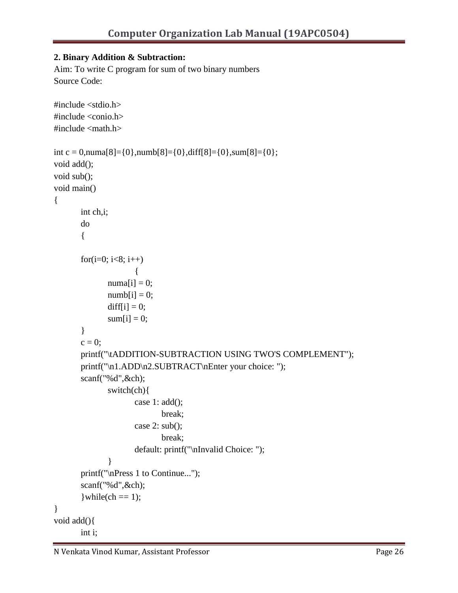## **2. Binary Addition & Subtraction:**

Aim: To write C program for sum of two binary numbers Source Code:

```
#include <stdio.h>
#include <conio.h>
\#include \langle \text{math.h}\rangleint c = 0,numa[8]={0},numb[8]={0},diff[8]={0},sum[8]={0};
void add();
void sub();
void main()
{
        int ch,i;
        do
       {
       for(i=0; i<8; i++)
                       {
               numa[i] = 0;\text{numb}[i] = 0;diff[i] = 0;
               sum[i] = 0; }
       c = 0:
        printf("\tADDITION-SUBTRACTION USING TWO'S COMPLEMENT");
        printf("\n1.ADD\n2.SUBTRACT\nEnter your choice: ");
        scanf("%d",&ch);
                switch(ch){
                       case 1: add();
                               break;
                       case 2: sub();
                               break;
                       default: printf("\nInvalid Choice: ");
 }
        printf("\nPress 1 to Continue...");
        scanf("%d",&ch);
       \text{while}(\text{ch} == 1);}
void add(){
        int i;
```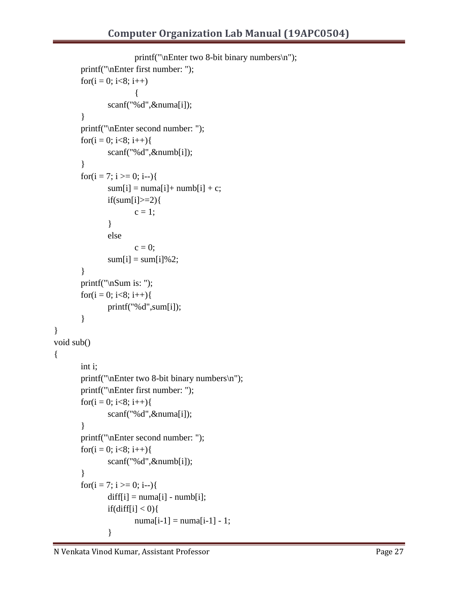```
printf("\nEnter two 8-bit binary numbers\n");
        printf("\nEnter first number: ");
       for(i = 0; i < 8; i++)
                      {
                scanf("%d",&numa[i]);
        }
        printf("\nEnter second number: ");
       for(i = 0; i < 8; i++){
                scanf("%d",&numb[i]);
        }
       for(i = 7; i >= 0; i-j{
              sum[i] = numa[i] + numb[i] + c;if(sum[i]>=2){
                      c = 1; }
                else
                      c = 0;
               sum[i] = sum[i]\%2; }
        printf("\nSum is: ");
       for(i = 0; i < 8; i++){
               printf("%d",sum[i]);
        }
void sub()
        int i;
       printf("\nEnter two 8-bit binary numbers\n");
        printf("\nEnter first number: ");
       for(i = 0; i < 8; i++){
                scanf("%d",&numa[i]);
        }
        printf("\nEnter second number: ");
       for(i = 0; i < 8; i++){
                scanf("%d",&numb[i]);
        }
       for(i = 7; i >= 0; i-j{
               diff[i] = numa[i] - numb[i];if(diff[i] < 0){
                      numa[i-1] = numa[i-1] - 1; }
```
}

{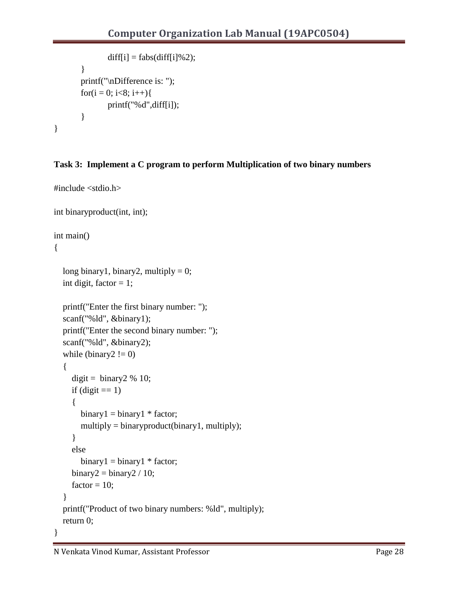```
diff[i] = fabs(df[i]%2);
         }
         printf("\nDifference is: ");
        for(i = 0; i < 8; i++){
                 printf("%d",diff[i]);
         }
}
```
## **Task 3: Implement a C program to perform Multiplication of two binary numbers**

```
#include <stdio.h>
int binaryproduct(int, int);
int main()
{
  long binary1, binary2, multiply = 0;
  int digit, factor = 1;
   printf("Enter the first binary number: ");
   scanf("%ld", &binary1);
   printf("Enter the second binary number: ");
   scanf("%ld", &binary2);
  while (binary2 != 0)
   {
     digit = binary2 % 10;
     if (digit == 1) {
       binary1 = binary1 * factor;multiply = binaryproduct(binary1, multiply);
      }
      else
       binary1 = binary1 * factor;binary2 = binary2 / 10;
     factor = 10;
   }
   printf("Product of two binary numbers: %ld", multiply);
   return 0;
}
```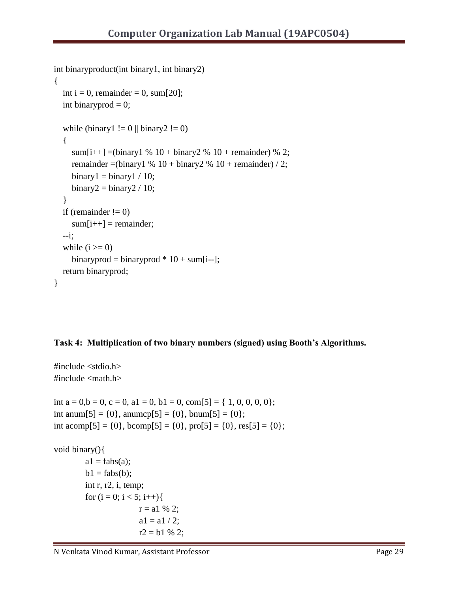```
int binaryproduct(int binary1, int binary2)
{
  int i = 0, remainder = 0, sum[20];
  int binaryprod = 0;
  while (binary1 != 0 || binary2 != 0)
   {
     sum[i++] =(binary1 % 10 + \text{binary2} % 10 + \text{remainder}) % 2;
     remainder = (binary 1 % 10 + \text{binary2} % 10 + \text{remainder}) / 2;
     binary1 = binary1 / 10;binary2 = binary2 / 10; }
  if (remainder != 0)
     sum[i++] = remainder;
   --i;
  while (i \geq 0)binaryprod = binaryprod * 10 + sum[i-];
   return binaryprod;
}
```
## **Task 4: Multiplication of two binary numbers (signed) using Booth's Algorithms.**

```
#include <stdio.h>
#include <math.h>
int a = 0,b = 0, c = 0, a1 = 0, b1 = 0, com[5] = { 1, 0, 0, 0, 0};
int anum[5] = {0}, anumcp[5] = {0}, bnum[5] = {0};
int acomp[5] = {0}, bcomp[5] = {0}, pro[5] = {0}, res[5] = {0};
void binary(){
        a1 = fabs(a);b1 = fabs(b); int r, r2, i, temp;
         for (i = 0; i < 5; i++)r = a1 \% 2;a1 = a1 / 2;
                        r2 = b1 \% 2;
```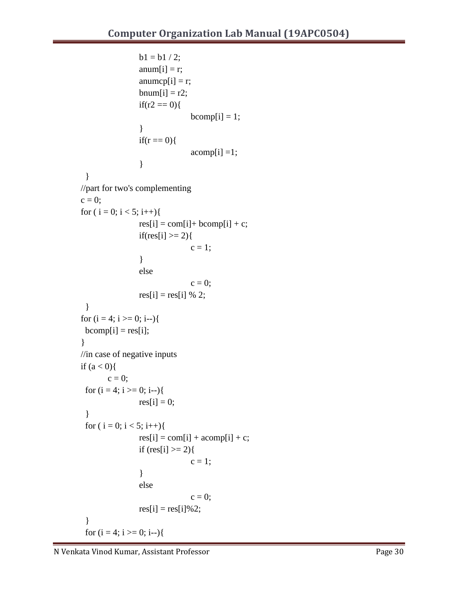```
b1 = b1 / 2;anum[i] = r;anumcp[i] = r;bnum[i] = r2;
                if(r2 == 0)bcomp[i] = 1; }
                if(r == 0){
                               acomp[i] = 1; }
  }
//part for two's complementing
c = 0;for (i = 0; i < 5; i++){
                res[i] = com[i] + bcomp[i] + c;if(res[i] >= 2){
                               c = 1;
                 }
                 else
                               c = 0;res[i] = res[i] \% 2; }
for (i = 4; i >= 0; i-)bcomp[i] = res[i];}
//in case of negative inputs
if (a < 0){
       c = 0;for (i = 4; i >= 0; i-)res[i] = 0; }
 for ( i = 0; i < 5; i++){
                res[i] = com[i] + acomp[i] + c;if (res[i] > = 2){
                               c = 1; }
                 else
                               c = 0;res[i] = res[i]\%2; }
 for (i = 4; i >= 0; i-)
```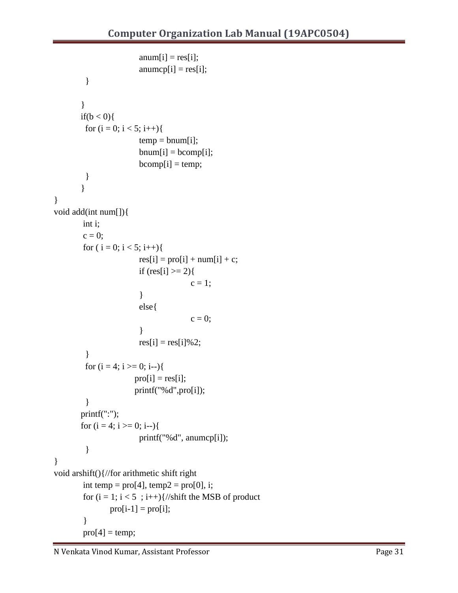```
anum[i] = res[i];anumcp[i] = res[i]; }
       }
       if(b < 0)for (i = 0; i < 5; i++)temp = bunum[i];bnum[i] = bcomp[i];bcomp[i] = temp; }
        }
}
void add(int num[]){
        int i;
        c = 0;for (i = 0; i < 5; i++)res[i] = proj[i] + num[i] + c;if (res[i] > = 2){
                                       c = 1;
                         }
                         else{
                                       c = 0; } 
                        res[i] = res[i]\%2; }
        for (i = 4; i >= 0; i-)proj[i] = res[i];printf("%d",pro[i]);
          }
       printf(":");
       for (i = 4; i >= 0; i-) printf("%d", anumcp[i]);
          }
}
void arshift(){//for arithmetic shift right
        int temp = proj(4], temp2 = proj(0], i;
        for (i = 1; i < 5; i++) {//shift the MSB of product
                proj[i-1] = proj[i];}
        proj(4] = temp;
```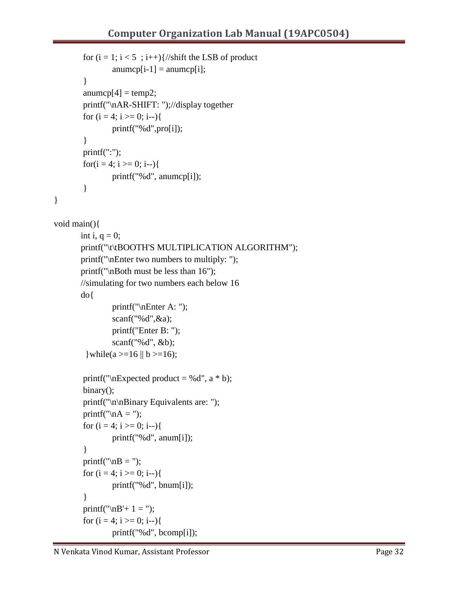```
for (i = 1; i < 5; i++) {//shift the LSB of product
                anumcp[i-1] = anumcp[i];
        }
        anumcp[4] = temp2;
        printf("\nAR-SHIFT: ");//display together
        for (i = 4; i >= 0; i-) printf("%d",pro[i]);
        }
        printf(":");
        for(i = 4; i >= 0; i-j{
                 printf("%d", anumcp[i]);
        }
void main(){
       int i, q = 0;
       printf("\t\tBOOTH'S MULTIPLICATION ALGORITHM");
       printf("\nEnter two numbers to multiply: ");
       printf("\nBoth must be less than 16");
       //simulating for two numbers each below 16
       do{
                 printf("\nEnter A: ");
                 scanf("%d",&a);
                 printf("Enter B: ");
                 scanf("%d", &b);
         \text{while}\n(a \geq 16 \parallel b \geq 16\n);printf("\nExpected product = %d", a * b);
        binary();
        printf("\n\nBinary Equivalents are: ");
        printf("nA =");
        for (i = 4; i >= 0; i--) printf("%d", anum[i]);
        }
        printf("nB =");
        for (i = 4; i >= 0; i--) printf("%d", bnum[i]);
        }
        printf("\nB'+ 1 = ");
        for (i = 4; i >= 0; i-) printf("%d", bcomp[i]);
```
}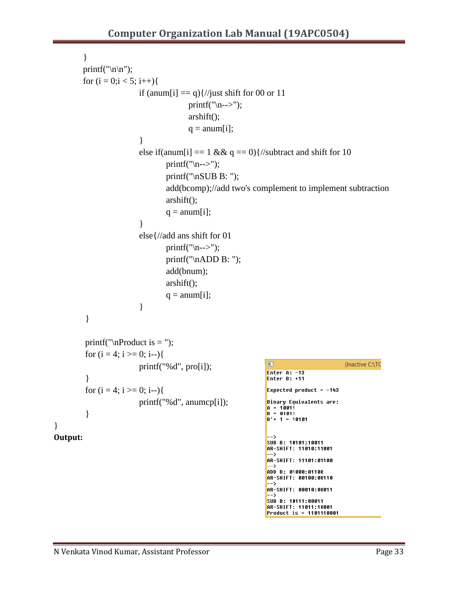```
}
          printf("\ln\ln");
          for (i = 0; i < 5; i++)if (\text{anum}[i] == q) //just shift for 00 or 11
                                               printf("\langle n--\rangle");
                                               arshift();
                                               q = \text{anum}[i]; }
                              else if(anum[i] = 1 \& \& q = 0){//subtract and shift for 10
                                       printf("\langle n--\rangle");
                                        printf("\nSUB B: ");
                                         add(bcomp);//add two's complement to implement subtraction
                                         arshift();
                                       q = \text{anum}[i]; }
                               else{//add ans shift for 01
                                       printf("\ln -->");
                                         printf("\nADD B: ");
                                         add(bnum);
                                         arshift();
                                       q = \text{anum}[i]; }
            }
           printf("nProduct is =");
           for (i = 4; i >= 0; i-)\blacksquare(Inactive C:\TC
                               printf("%d", pro[i]);
                                                                           Enter A: -13<br>Enter B: +11
            }
           for (i = 4; i >= 0; i-)Expected product = -143 printf("%d", anumcp[i]);
                                                                           Binary Equivalents are:
                                                                           A = 10011 }
                                                                           B = 01011B' + 1 = 10101Output:SUB B: 10101:10011
                                                                           AR-SHIFT: 11010:11001
                                                                             \rightarrowAR-SHIFT: 11101:01100
                                                                            ADD B: 01000:01100
                                                                           AR-SHIFT: 00100:00110
                                                                            -->
                                                                            AR-SHIFT: 00010:00011
                                                                             ... >
                                                                            SUB B: 10111:00011
                                                                           AR-SHIFT: 11011:10001<br>AR-SHIFT: 11011:10001<br>Product is = 1101110001
```
}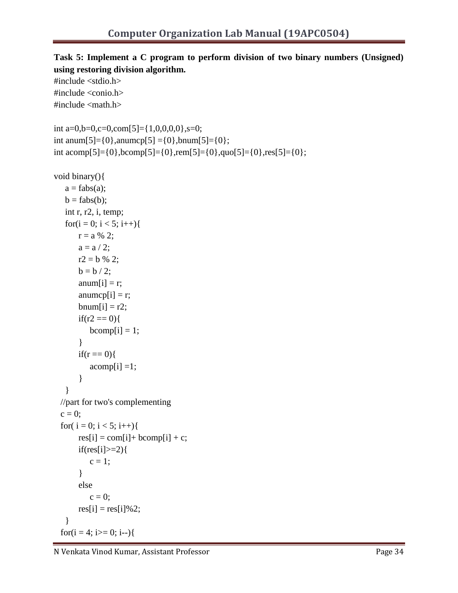## **Task 5: Implement a C program to perform division of two binary numbers (Unsigned) using restoring division algorithm.**

```
#include <stdio.h>
#include <conio.h>
#include \langle \text{math.h}\rangleint a=0,b=0,c=0,com[5]={1,0,0,0,0},s=0;
int anum[5]={0},anumcp[5] ={0},bnum[5]={0};
int acomp[5]={0},bcomp[5]={0},rem[5]={0},quo[5]={0},res[5]={0};
void binary(){
   a = fabs(a);b = fabs(b);int r, r2, i, temp;
   for(i = 0; i < 5; i++){
      r = a \, \% \, 2;a = a / 2;
       r2 = b \% 2;b = b / 2;anum[i] = r;anumcp[i] = r;bnum[i] = r2;
       if(r2 == 0)bcomp[i] = 1;}
       if(r == 0)acomp[i] = 1;}
   }
 //part for two's complementing
 c = 0;for(i = 0; i < 5; i++){
       res[i] = com[i] + bcomp[i] + c;if(res[i]>=2){
          c = 1;
       }
       else
          c = 0;
       res[i] = res[i]\%2;}
 for(i = 4; i>= 0; i-j{
```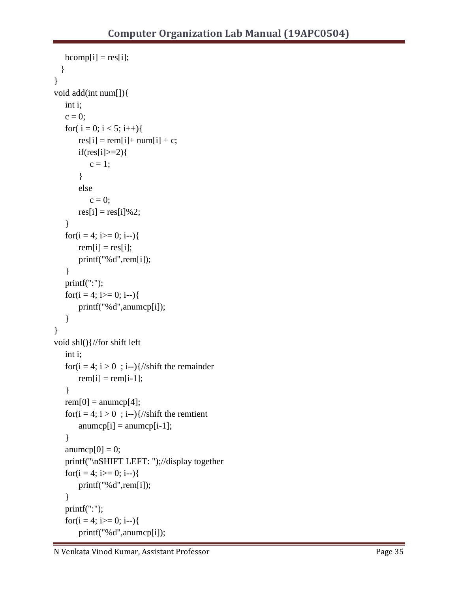```
bcomp[i] = res[i];}
}
void add(int num[]){
   int i;
   c = 0;for(i = 0; i < 5; i++){
       res[i] = rem[i] + num[i] + c;if(res[i]\geq=2){}c = 1;
       }
       else
          c = 0;
       res[i] = res[i]\%2;}
   for(i = 4; i>= 0; i-j{
      rem[i] = res[i];printf("%d",rem[i]);
   }
   printf(":");
   for(i = 4; i>= 0; i--){
      printf("%d",anumcp[i]);
   }
}
void shl(){//for shift left
   int i;
   for(i = 4; i > 0; i-j{//shift the remainder
      rem[i] = rem[i-1];}
   rem[0] = anumcp[4];for(i = 4; i > 0; i-j}//shift the remtient
       anumcp[i] = anumcp[i-1];
   }
   anumcp[0] = 0;
  printf("\nSHIFT LEFT: ");//display together
   for(i = 4; i > = 0; i -- ){
       printf("%d",rem[i]);
   }
   printf(":");
   for(i = 4; i>= 0; i-j{
      printf("%d",anumcp[i]);
```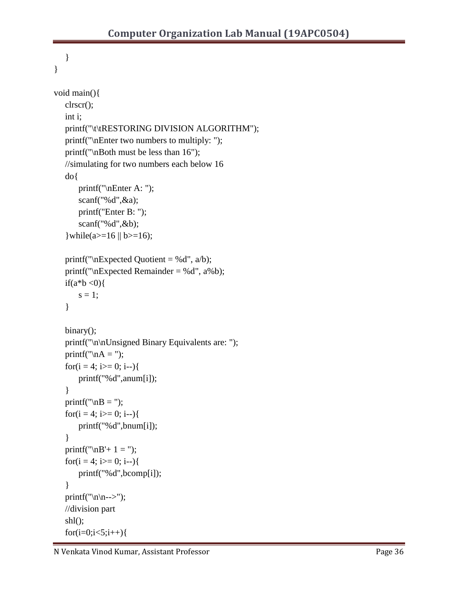```
}
}
void main(){
   clrscr();
   int i;
   printf("\t\tRESTORING DIVISION ALGORITHM");
   printf("\nEnter two numbers to multiply: ");
   printf("\nBoth must be less than 16");
   //simulating for two numbers each below 16
   do{
       printf("\nEnter A: ");
       scanf("%d",&a);
       printf("Enter B: ");
       scanf("%d",&b);
   \text{while}\n  (a >= 16 || b >= 16);printf("nExpected Quotient = %d", a/b);printf("nExpected Remainder = %d", a%b);
   if(a^*b < 0){
      s = 1;}
   binary();
   printf("\n\nUnsigned Binary Equivalents are: ");
   printf("nA =");
   for(i = 4; i>= 0; i-j{
       printf("%d",anum[i]);
   }
   printf("nB =");
   for(i = 4; i>= 0; i-j{
       printf("%d",bnum[i]);
   }
   printf("\nB'+ 1 = ");
   for(i = 4; i>= 0; i--){
       printf("%d",bcomp[i]);
   }
   printf("\ln\left(-\right);
   //division part
   shl();
   for(i=0;i<5;i++){
```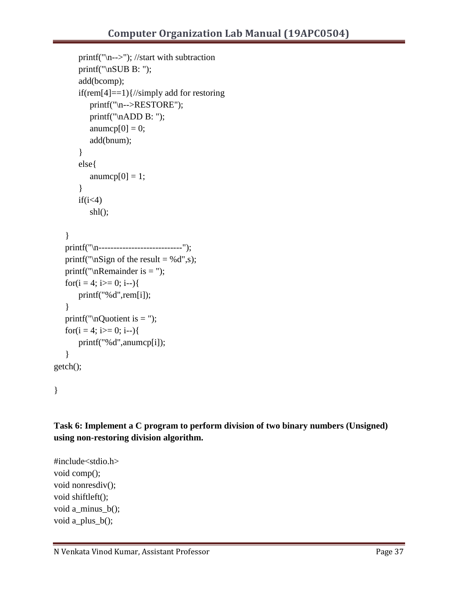```
printf("\n-->"); //start with subtraction
      printf("\nSUB B: ");
      add(bcomp);
      if(rem[4]==1){//simply add for restoring
         printf("\n-->RESTORE");
         printf("\nADD B: ");
          anumcp[0] = 0;
         add(bnum);
       }
      else{
          anumcp[0] = 1;}
      if(i<4)shl();
   }
  printf("\n----------------------------");
   printf("\nSign of the result = %d",s);
  printf("\nRemainder is = ");
  for(i = 4; i>= 0; i-j{
      printf("%d",rem[i]);
   }
  printf("nQuotient is =");
  for(i = 4; i>= 0; i-j{
      printf("%d",anumcp[i]);
   }
getch();
```
}

**Task 6: Implement a C program to perform division of two binary numbers (Unsigned) using non-restoring division algorithm.**

#include<stdio.h> void comp(); void nonresdiv(); void shiftleft(); void a\_minus\_b(); void a\_plus\_b();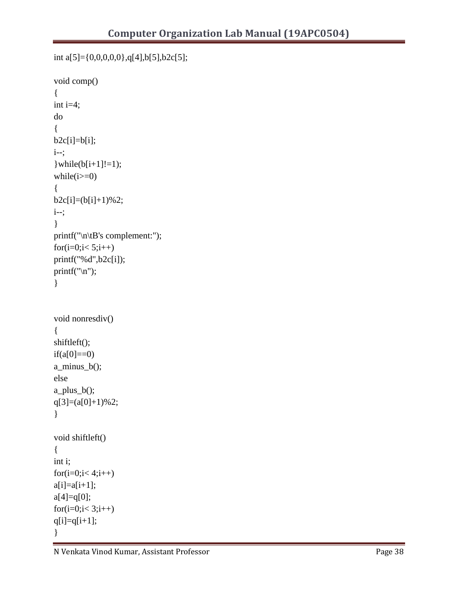```
int a[5]={0,0,0,0,0},q[4],b[5],b2c[5];
void comp()
{
int i=4;
do
{
b2c[i]=b[i];i--;
\}while(b[i+1]!=1);
while(i>=0){
b2c[i]=[b[i]+1)\%2;i--;
}
printf("\n\tB's complement:");
for(i=0; i< 5; i++)printf("%d",b2c[i]);
printf("\ln");
}
void nonresdiv()
{
shiftleft();
if(a[0]=0)a_minus_b();
else
a_plus_b();
q[3]=(a[0]+1)%2;
}
void shiftleft()
{
int i;
for(i=0; i< 4; i++)a[i]=a[i+1];a[4] = q[0];for(i=0; i< 3; i++)q[i]=q[i+1];}
```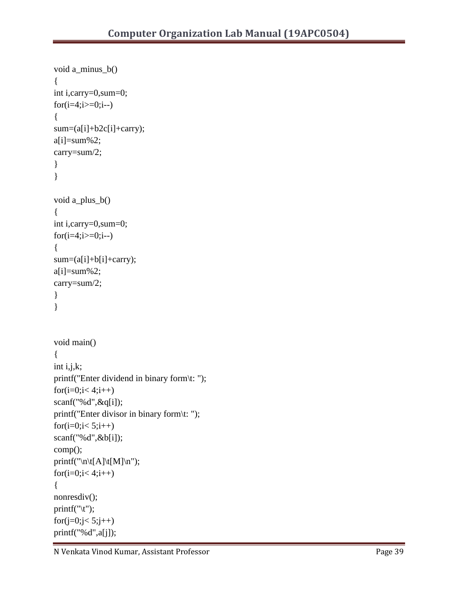```
void a_minus_b()
{
int i,carry=0,sum=0;
for(i=4;i>=0;i--)
{
sum=(a[i]+b2c[i]+carry);a[i]=sum\%2;carry=sum/2;
}
}
void a_plus_b()
{
int i,carry=0,sum=0;
for(i=4;i>=0;i--)
{
sum=(a[i]+b[i]+carry);a[i]=sum\%2;carry=sum/2;
}
}
void main()
{
int i,j,k;
printf("Enter dividend in binary form\t: ");
for(i=0;i<4;i++)
scanf("%d",&q[i]);
printf("Enter divisor in binary form\t: ");
for(i=0; i< 5; i++)scanf("%d",&b[i]);
comp();
printf("\n\t[A]\t[M]\n");
for(i=0; i< 4; i++){
nonresdiv();
printf("\setminust");
for(j=0;j< 5;j++)printf("%d",a[j]);
```